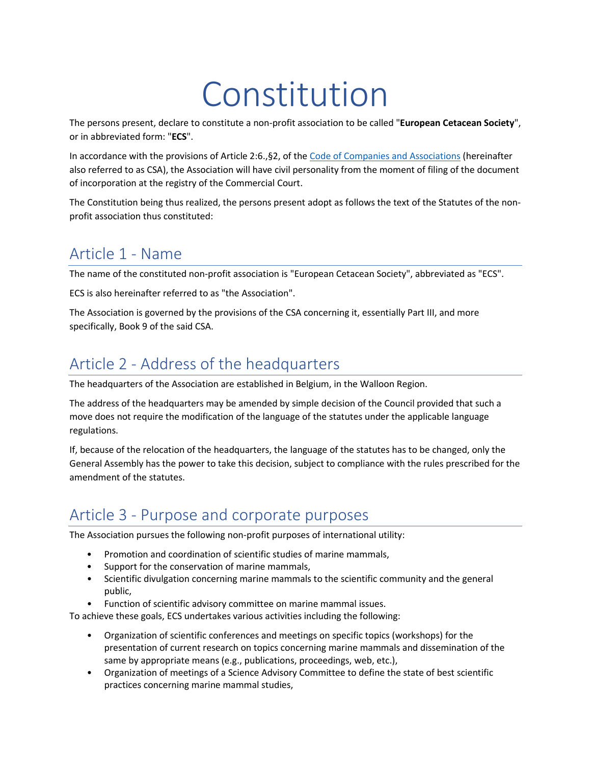# Constitution

The persons present, declare to constitute a non-profit association to be called "**European Cetacean Society**", or in abbreviated form: "**ECS**".

In accordance with the provisions of Article 2:6.,§2, of the [Code of Companies and Associations](https://www.ejustice.just.fgov.be/eli/loi/2019/03/23/2019A40586/justel) (hereinafter also referred to as CSA), the Association will have civil personality from the moment of filing of the document of incorporation at the registry of the Commercial Court.

The Constitution being thus realized, the persons present adopt as follows the text of the Statutes of the nonprofit association thus constituted:

### Article 1 - Name

The name of the constituted non-profit association is "European Cetacean Society", abbreviated as "ECS".

ECS is also hereinafter referred to as "the Association".

The Association is governed by the provisions of the CSA concerning it, essentially Part III, and more specifically, Book 9 of the said CSA.

### Article 2 - Address of the headquarters

The headquarters of the Association are established in Belgium, in the Walloon Region.

The address of the headquarters may be amended by simple decision of the Council provided that such a move does not require the modification of the language of the statutes under the applicable language regulations.

If, because of the relocation of the headquarters, the language of the statutes has to be changed, only the General Assembly has the power to take this decision, subject to compliance with the rules prescribed for the amendment of the statutes.

### Article 3 - Purpose and corporate purposes

The Association pursues the following non-profit purposes of international utility:

- Promotion and coordination of scientific studies of marine mammals,
- Support for the conservation of marine mammals,
- Scientific divulgation concerning marine mammals to the scientific community and the general public,
- Function of scientific advisory committee on marine mammal issues.

To achieve these goals, ECS undertakes various activities including the following:

- Organization of scientific conferences and meetings on specific topics (workshops) for the presentation of current research on topics concerning marine mammals and dissemination of the same by appropriate means (e.g., publications, proceedings, web, etc.),
- Organization of meetings of a Science Advisory Committee to define the state of best scientific practices concerning marine mammal studies,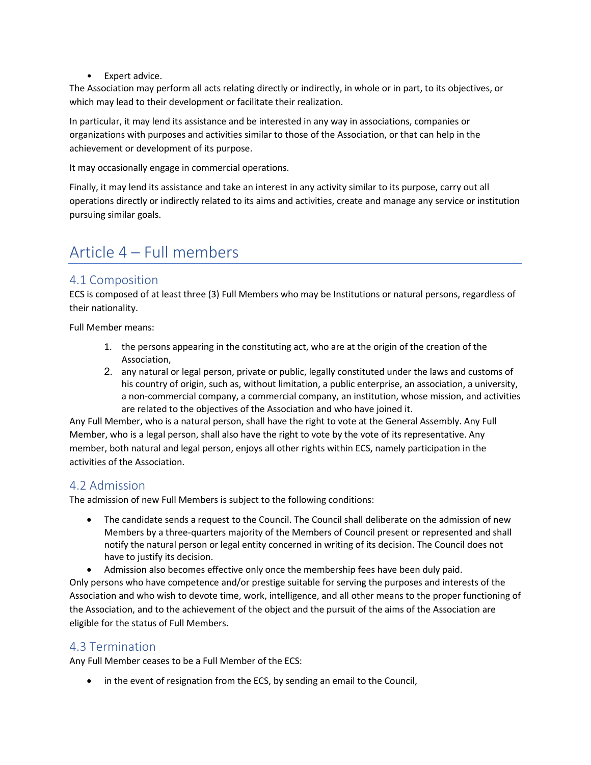• Expert advice.

The Association may perform all acts relating directly or indirectly, in whole or in part, to its objectives, or which may lead to their development or facilitate their realization.

In particular, it may lend its assistance and be interested in any way in associations, companies or organizations with purposes and activities similar to those of the Association, or that can help in the achievement or development of its purpose.

It may occasionally engage in commercial operations.

Finally, it may lend its assistance and take an interest in any activity similar to its purpose, carry out all operations directly or indirectly related to its aims and activities, create and manage any service or institution pursuing similar goals.

### Article 4 – Full members

#### 4.1 Composition

ECS is composed of at least three (3) Full Members who may be Institutions or natural persons, regardless of their nationality.

Full Member means:

- 1. the persons appearing in the constituting act, who are at the origin of the creation of the Association,
- 2. any natural or legal person, private or public, legally constituted under the laws and customs of his country of origin, such as, without limitation, a public enterprise, an association, a university, a non-commercial company, a commercial company, an institution, whose mission, and activities are related to the objectives of the Association and who have joined it.

Any Full Member, who is a natural person, shall have the right to vote at the General Assembly. Any Full Member, who is a legal person, shall also have the right to vote by the vote of its representative. Any member, both natural and legal person, enjoys all other rights within ECS, namely participation in the activities of the Association.

### 4.2 Admission

The admission of new Full Members is subject to the following conditions:

- The candidate sends a request to the Council. The Council shall deliberate on the admission of new Members by a three-quarters majority of the Members of Council present or represented and shall notify the natural person or legal entity concerned in writing of its decision. The Council does not have to justify its decision.
- Admission also becomes effective only once the membership fees have been duly paid.

Only persons who have competence and/or prestige suitable for serving the purposes and interests of the Association and who wish to devote time, work, intelligence, and all other means to the proper functioning of the Association, and to the achievement of the object and the pursuit of the aims of the Association are eligible for the status of Full Members.

### 4.3 Termination

Any Full Member ceases to be a Full Member of the ECS:

• in the event of resignation from the ECS, by sending an email to the Council,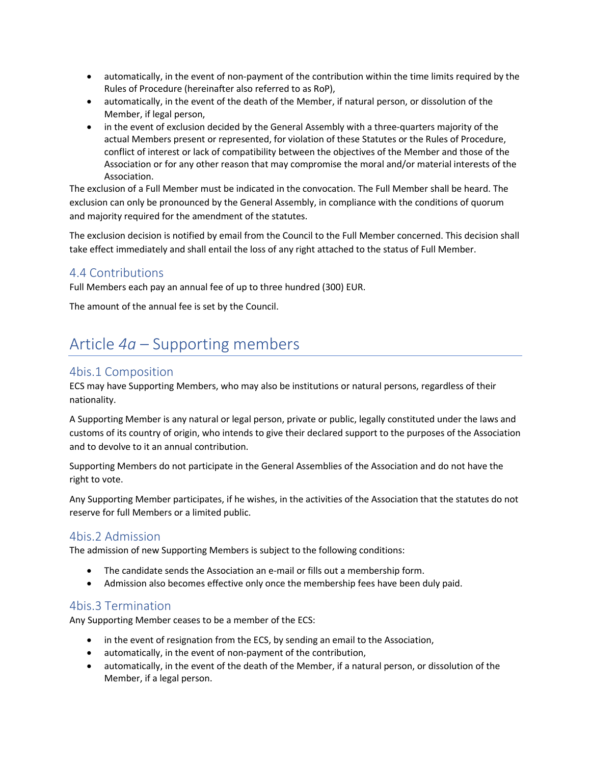- automatically, in the event of non-payment of the contribution within the time limits required by the Rules of Procedure (hereinafter also referred to as RoP),
- automatically, in the event of the death of the Member, if natural person, or dissolution of the Member, if legal person,
- in the event of exclusion decided by the General Assembly with a three-quarters majority of the actual Members present or represented, for violation of these Statutes or the Rules of Procedure, conflict of interest or lack of compatibility between the objectives of the Member and those of the Association or for any other reason that may compromise the moral and/or material interests of the Association.

The exclusion of a Full Member must be indicated in the convocation. The Full Member shall be heard. The exclusion can only be pronounced by the General Assembly, in compliance with the conditions of quorum and majority required for the amendment of the statutes.

The exclusion decision is notified by email from the Council to the Full Member concerned. This decision shall take effect immediately and shall entail the loss of any right attached to the status of Full Member.

#### 4.4 Contributions

Full Members each pay an annual fee of up to three hundred (300) EUR.

The amount of the annual fee is set by the Council.

### Article *4a* – Supporting members

#### 4bis.1 Composition

ECS may have Supporting Members, who may also be institutions or natural persons, regardless of their nationality.

A Supporting Member is any natural or legal person, private or public, legally constituted under the laws and customs of its country of origin, who intends to give their declared support to the purposes of the Association and to devolve to it an annual contribution.

Supporting Members do not participate in the General Assemblies of the Association and do not have the right to vote.

Any Supporting Member participates, if he wishes, in the activities of the Association that the statutes do not reserve for full Members or a limited public.

#### 4bis.2 Admission

The admission of new Supporting Members is subject to the following conditions:

- The candidate sends the Association an e-mail or fills out a membership form.
- Admission also becomes effective only once the membership fees have been duly paid.

#### 4bis.3 Termination

Any Supporting Member ceases to be a member of the ECS:

- in the event of resignation from the ECS, by sending an email to the Association,
- automatically, in the event of non-payment of the contribution,
- automatically, in the event of the death of the Member, if a natural person, or dissolution of the Member, if a legal person.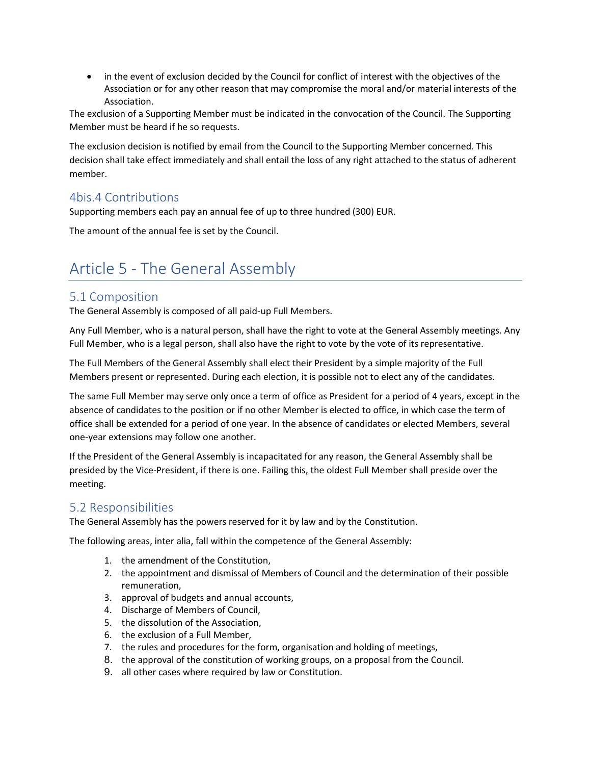• in the event of exclusion decided by the Council for conflict of interest with the objectives of the Association or for any other reason that may compromise the moral and/or material interests of the Association.

The exclusion of a Supporting Member must be indicated in the convocation of the Council. The Supporting Member must be heard if he so requests.

The exclusion decision is notified by email from the Council to the Supporting Member concerned. This decision shall take effect immediately and shall entail the loss of any right attached to the status of adherent member.

### 4bis.4 Contributions

Supporting members each pay an annual fee of up to three hundred (300) EUR.

The amount of the annual fee is set by the Council.

### Article 5 - The General Assembly

#### 5.1 Composition

The General Assembly is composed of all paid-up Full Members.

Any Full Member, who is a natural person, shall have the right to vote at the General Assembly meetings. Any Full Member, who is a legal person, shall also have the right to vote by the vote of its representative.

The Full Members of the General Assembly shall elect their President by a simple majority of the Full Members present or represented. During each election, it is possible not to elect any of the candidates.

The same Full Member may serve only once a term of office as President for a period of 4 years, except in the absence of candidates to the position or if no other Member is elected to office, in which case the term of office shall be extended for a period of one year. In the absence of candidates or elected Members, several one-year extensions may follow one another.

If the President of the General Assembly is incapacitated for any reason, the General Assembly shall be presided by the Vice-President, if there is one. Failing this, the oldest Full Member shall preside over the meeting.

#### 5.2 Responsibilities

The General Assembly has the powers reserved for it by law and by the Constitution.

The following areas, inter alia, fall within the competence of the General Assembly:

- 1. the amendment of the Constitution,
- 2. the appointment and dismissal of Members of Council and the determination of their possible remuneration,
- 3. approval of budgets and annual accounts,
- 4. Discharge of Members of Council,
- 5. the dissolution of the Association,
- 6. the exclusion of a Full Member,
- 7. the rules and procedures for the form, organisation and holding of meetings,
- 8. the approval of the constitution of working groups, on a proposal from the Council.
- 9. all other cases where required by law or Constitution.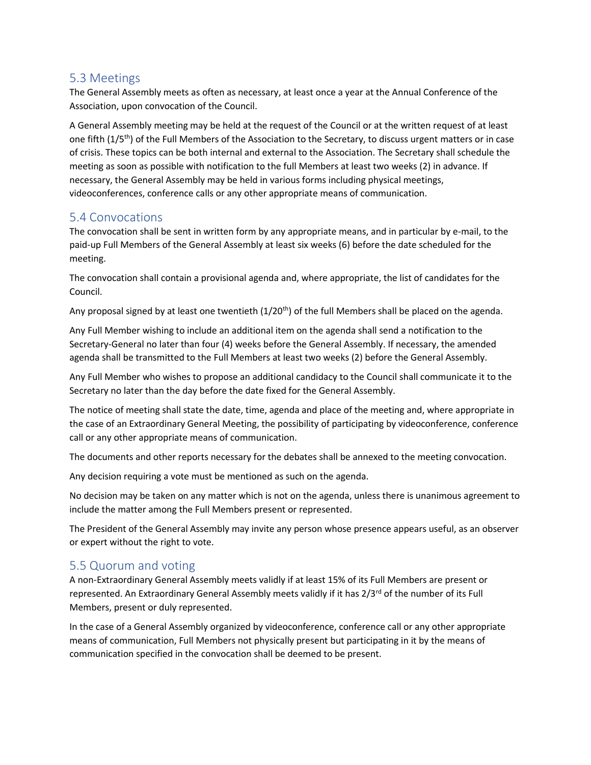#### 5.3 Meetings

The General Assembly meets as often as necessary, at least once a year at the Annual Conference of the Association, upon convocation of the Council.

A General Assembly meeting may be held at the request of the Council or at the written request of at least one fifth (1/5<sup>th</sup>) of the Full Members of the Association to the Secretary, to discuss urgent matters or in case of crisis. These topics can be both internal and external to the Association. The Secretary shall schedule the meeting as soon as possible with notification to the full Members at least two weeks (2) in advance. If necessary, the General Assembly may be held in various forms including physical meetings, videoconferences, conference calls or any other appropriate means of communication.

#### 5.4 Convocations

The convocation shall be sent in written form by any appropriate means, and in particular by e-mail, to the paid-up Full Members of the General Assembly at least six weeks (6) before the date scheduled for the meeting.

The convocation shall contain a provisional agenda and, where appropriate, the list of candidates for the Council.

Any proposal signed by at least one twentieth  $(1/20<sup>th</sup>)$  of the full Members shall be placed on the agenda.

Any Full Member wishing to include an additional item on the agenda shall send a notification to the Secretary-General no later than four (4) weeks before the General Assembly. If necessary, the amended agenda shall be transmitted to the Full Members at least two weeks (2) before the General Assembly.

Any Full Member who wishes to propose an additional candidacy to the Council shall communicate it to the Secretary no later than the day before the date fixed for the General Assembly.

The notice of meeting shall state the date, time, agenda and place of the meeting and, where appropriate in the case of an Extraordinary General Meeting, the possibility of participating by videoconference, conference call or any other appropriate means of communication.

The documents and other reports necessary for the debates shall be annexed to the meeting convocation.

Any decision requiring a vote must be mentioned as such on the agenda.

No decision may be taken on any matter which is not on the agenda, unless there is unanimous agreement to include the matter among the Full Members present or represented.

The President of the General Assembly may invite any person whose presence appears useful, as an observer or expert without the right to vote.

### 5.5 Quorum and voting

A non-Extraordinary General Assembly meets validly if at least 15% of its Full Members are present or represented. An Extraordinary General Assembly meets validly if it has 2/3<sup>rd</sup> of the number of its Full Members, present or duly represented.

In the case of a General Assembly organized by videoconference, conference call or any other appropriate means of communication, Full Members not physically present but participating in it by the means of communication specified in the convocation shall be deemed to be present.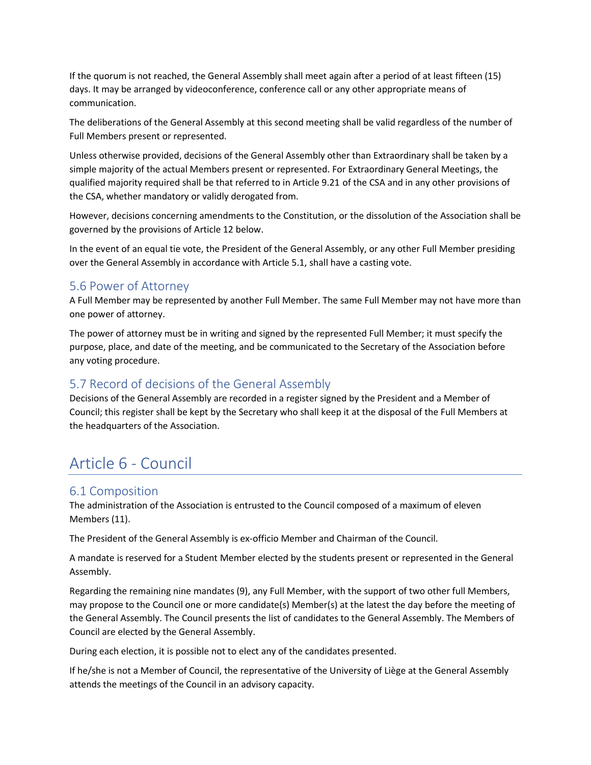If the quorum is not reached, the General Assembly shall meet again after a period of at least fifteen (15) days. It may be arranged by videoconference, conference call or any other appropriate means of communication.

The deliberations of the General Assembly at this second meeting shall be valid regardless of the number of Full Members present or represented.

Unless otherwise provided, decisions of the General Assembly other than Extraordinary shall be taken by a simple majority of the actual Members present or represented. For Extraordinary General Meetings, the qualified majority required shall be that referred to in Article 9.21 of the CSA and in any other provisions of the CSA, whether mandatory or validly derogated from.

However, decisions concerning amendments to the Constitution, or the dissolution of the Association shall be governed by the provisions of Article 12 below.

In the event of an equal tie vote, the President of the General Assembly, or any other Full Member presiding over the General Assembly in accordance with Article 5.1, shall have a casting vote.

#### 5.6 Power of Attorney

A Full Member may be represented by another Full Member. The same Full Member may not have more than one power of attorney.

The power of attorney must be in writing and signed by the represented Full Member; it must specify the purpose, place, and date of the meeting, and be communicated to the Secretary of the Association before any voting procedure.

### 5.7 Record of decisions of the General Assembly

Decisions of the General Assembly are recorded in a register signed by the President and a Member of Council; this register shall be kept by the Secretary who shall keep it at the disposal of the Full Members at the headquarters of the Association.

### Article 6 - Council

#### 6.1 Composition

The administration of the Association is entrusted to the Council composed of a maximum of eleven Members (11).

The President of the General Assembly is ex-officio Member and Chairman of the Council.

A mandate is reserved for a Student Member elected by the students present or represented in the General Assembly.

Regarding the remaining nine mandates (9), any Full Member, with the support of two other full Members, may propose to the Council one or more candidate(s) Member(s) at the latest the day before the meeting of the General Assembly. The Council presents the list of candidates to the General Assembly. The Members of Council are elected by the General Assembly.

During each election, it is possible not to elect any of the candidates presented.

If he/she is not a Member of Council, the representative of the University of Liège at the General Assembly attends the meetings of the Council in an advisory capacity.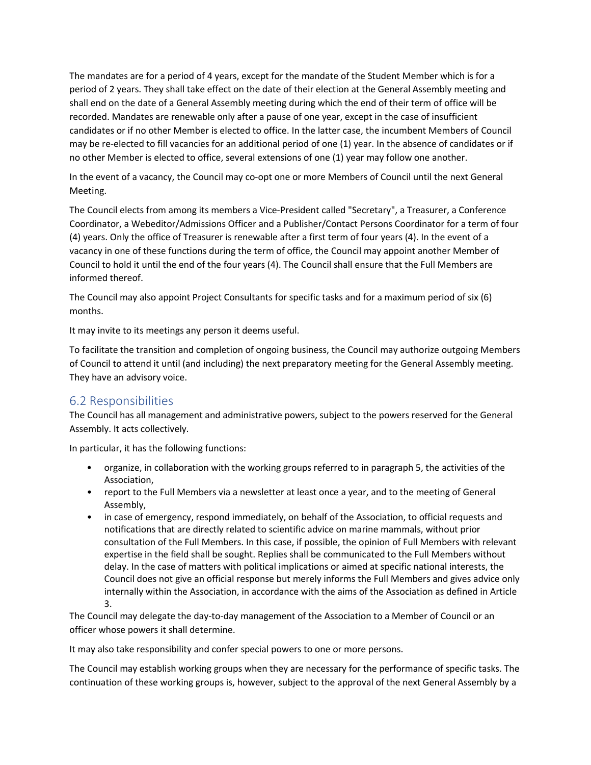The mandates are for a period of 4 years, except for the mandate of the Student Member which is for a period of 2 years. They shall take effect on the date of their election at the General Assembly meeting and shall end on the date of a General Assembly meeting during which the end of their term of office will be recorded. Mandates are renewable only after a pause of one year, except in the case of insufficient candidates or if no other Member is elected to office. In the latter case, the incumbent Members of Council may be re-elected to fill vacancies for an additional period of one (1) year. In the absence of candidates or if no other Member is elected to office, several extensions of one (1) year may follow one another.

In the event of a vacancy, the Council may co-opt one or more Members of Council until the next General Meeting.

The Council elects from among its members a Vice-President called "Secretary", a Treasurer, a Conference Coordinator, a Webeditor/Admissions Officer and a Publisher/Contact Persons Coordinator for a term of four (4) years. Only the office of Treasurer is renewable after a first term of four years (4). In the event of a vacancy in one of these functions during the term of office, the Council may appoint another Member of Council to hold it until the end of the four years (4). The Council shall ensure that the Full Members are informed thereof.

The Council may also appoint Project Consultants for specific tasks and for a maximum period of six (6) months.

It may invite to its meetings any person it deems useful.

To facilitate the transition and completion of ongoing business, the Council may authorize outgoing Members of Council to attend it until (and including) the next preparatory meeting for the General Assembly meeting. They have an advisory voice.

### 6.2 Responsibilities

The Council has all management and administrative powers, subject to the powers reserved for the General Assembly. It acts collectively.

In particular, it has the following functions:

- organize, in collaboration with the working groups referred to in paragraph 5, the activities of the Association,
- report to the Full Members via a newsletter at least once a year, and to the meeting of General Assembly,
- in case of emergency, respond immediately, on behalf of the Association, to official requests and notifications that are directly related to scientific advice on marine mammals, without prior consultation of the Full Members. In this case, if possible, the opinion of Full Members with relevant expertise in the field shall be sought. Replies shall be communicated to the Full Members without delay. In the case of matters with political implications or aimed at specific national interests, the Council does not give an official response but merely informs the Full Members and gives advice only internally within the Association, in accordance with the aims of the Association as defined in Article 3.

The Council may delegate the day-to-day management of the Association to a Member of Council or an officer whose powers it shall determine.

It may also take responsibility and confer special powers to one or more persons.

The Council may establish working groups when they are necessary for the performance of specific tasks. The continuation of these working groups is, however, subject to the approval of the next General Assembly by a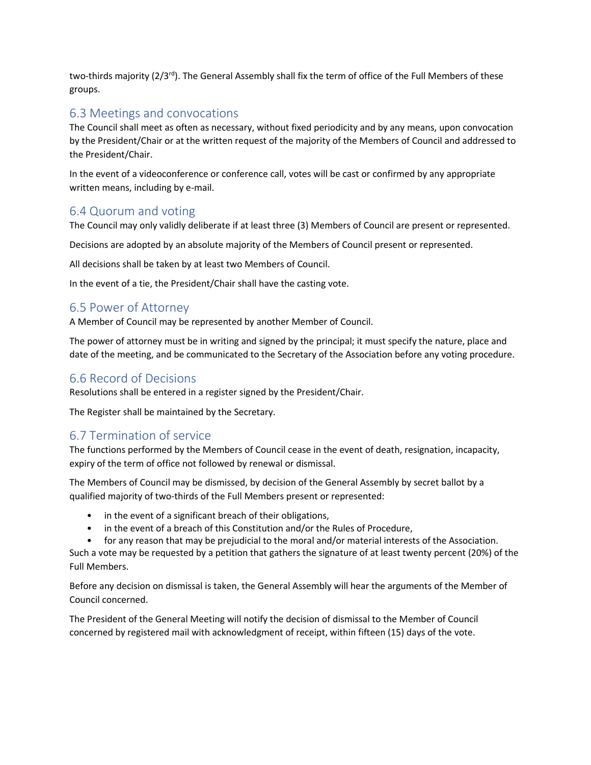two-thirds majority (2/3rd). The General Assembly shall fix the term of office of the Full Members of these groups.

#### 6.3 Meetings and convocations

The Council shall meet as often as necessary, without fixed periodicity and by any means, upon convocation by the President/Chair or at the written request of the majority of the Members of Council and addressed to the President/Chair.

In the event of a videoconference or conference call, votes will be cast or confirmed by any appropriate written means, including by e-mail.

#### 6.4 Quorum and voting

The Council may only validly deliberate if at least three (3) Members of Council are present or represented.

Decisions are adopted by an absolute majority of the Members of Council present or represented.

All decisions shall be taken by at least two Members of Council.

In the event of a tie, the President/Chair shall have the casting vote.

### 6.5 Power of Attorney

A Member of Council may be represented by another Member of Council.

The power of attorney must be in writing and signed by the principal; it must specify the nature, place and date of the meeting, and be communicated to the Secretary of the Association before any voting procedure.

### 6.6 Record of Decisions

Resolutions shall be entered in a register signed by the President/Chair.

The Register shall be maintained by the Secretary.

### 6.7 Termination of service

The functions performed by the Members of Council cease in the event of death, resignation, incapacity, expiry of the term of office not followed by renewal or dismissal.

The Members of Council may be dismissed, by decision of the General Assembly by secret ballot by a qualified majority of two-thirds of the Full Members present or represented:

- in the event of a significant breach of their obligations,
- in the event of a breach of this Constitution and/or the Rules of Procedure,
- for any reason that may be prejudicial to the moral and/or material interests of the Association.

Such a vote may be requested by a petition that gathers the signature of at least twenty percent (20%) of the Full Members.

Before any decision on dismissal is taken, the General Assembly will hear the arguments of the Member of Council concerned.

The President of the General Meeting will notify the decision of dismissal to the Member of Council concerned by registered mail with acknowledgment of receipt, within fifteen (15) days of the vote.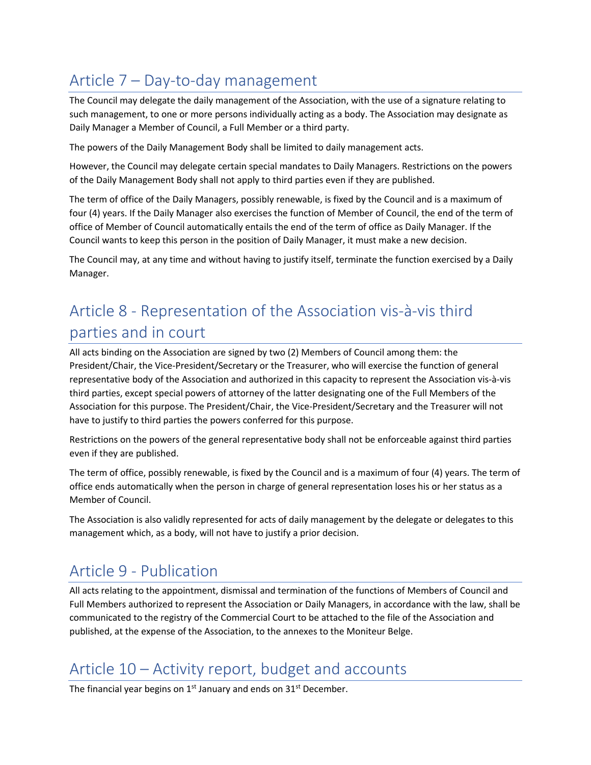# Article 7 – Day-to-day management

The Council may delegate the daily management of the Association, with the use of a signature relating to such management, to one or more persons individually acting as a body. The Association may designate as Daily Manager a Member of Council, a Full Member or a third party.

The powers of the Daily Management Body shall be limited to daily management acts.

However, the Council may delegate certain special mandates to Daily Managers. Restrictions on the powers of the Daily Management Body shall not apply to third parties even if they are published.

The term of office of the Daily Managers, possibly renewable, is fixed by the Council and is a maximum of four (4) years. If the Daily Manager also exercises the function of Member of Council, the end of the term of office of Member of Council automatically entails the end of the term of office as Daily Manager. If the Council wants to keep this person in the position of Daily Manager, it must make a new decision.

The Council may, at any time and without having to justify itself, terminate the function exercised by a Daily Manager.

### Article 8 - Representation of the Association vis-à-vis third parties and in court

All acts binding on the Association are signed by two (2) Members of Council among them: the President/Chair, the Vice-President/Secretary or the Treasurer, who will exercise the function of general representative body of the Association and authorized in this capacity to represent the Association vis-à-vis third parties, except special powers of attorney of the latter designating one of the Full Members of the Association for this purpose. The President/Chair, the Vice-President/Secretary and the Treasurer will not have to justify to third parties the powers conferred for this purpose.

Restrictions on the powers of the general representative body shall not be enforceable against third parties even if they are published.

The term of office, possibly renewable, is fixed by the Council and is a maximum of four (4) years. The term of office ends automatically when the person in charge of general representation loses his or her status as a Member of Council.

The Association is also validly represented for acts of daily management by the delegate or delegates to this management which, as a body, will not have to justify a prior decision.

### Article 9 - Publication

All acts relating to the appointment, dismissal and termination of the functions of Members of Council and Full Members authorized to represent the Association or Daily Managers, in accordance with the law, shall be communicated to the registry of the Commercial Court to be attached to the file of the Association and published, at the expense of the Association, to the annexes to the Moniteur Belge.

### Article 10 – Activity report, budget and accounts

The financial year begins on 1<sup>st</sup> January and ends on 31<sup>st</sup> December.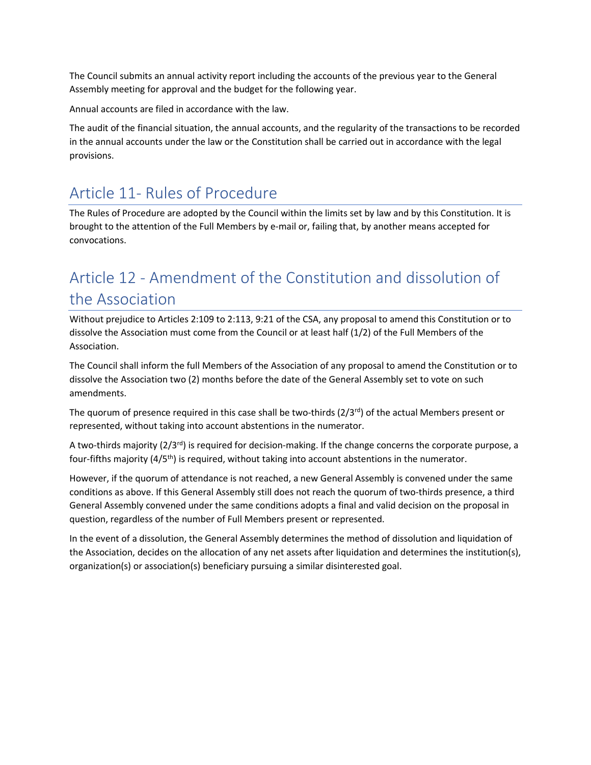The Council submits an annual activity report including the accounts of the previous year to the General Assembly meeting for approval and the budget for the following year.

Annual accounts are filed in accordance with the law.

The audit of the financial situation, the annual accounts, and the regularity of the transactions to be recorded in the annual accounts under the law or the Constitution shall be carried out in accordance with the legal provisions.

### Article 11- Rules of Procedure

The Rules of Procedure are adopted by the Council within the limits set by law and by this Constitution. It is brought to the attention of the Full Members by e-mail or, failing that, by another means accepted for convocations.

# Article 12 - Amendment of the Constitution and dissolution of the Association

Without prejudice to Articles 2:109 to 2:113, 9:21 of the CSA, any proposal to amend this Constitution or to dissolve the Association must come from the Council or at least half (1/2) of the Full Members of the Association.

The Council shall inform the full Members of the Association of any proposal to amend the Constitution or to dissolve the Association two (2) months before the date of the General Assembly set to vote on such amendments.

The quorum of presence required in this case shall be two-thirds ( $2/3<sup>rd</sup>$ ) of the actual Members present or represented, without taking into account abstentions in the numerator.

A two-thirds majority  $(2/3^{rd})$  is required for decision-making. If the change concerns the corporate purpose, a four-fifths majority (4/5th) is required, without taking into account abstentions in the numerator.

However, if the quorum of attendance is not reached, a new General Assembly is convened under the same conditions as above. If this General Assembly still does not reach the quorum of two-thirds presence, a third General Assembly convened under the same conditions adopts a final and valid decision on the proposal in question, regardless of the number of Full Members present or represented.

In the event of a dissolution, the General Assembly determines the method of dissolution and liquidation of the Association, decides on the allocation of any net assets after liquidation and determines the institution(s), organization(s) or association(s) beneficiary pursuing a similar disinterested goal.